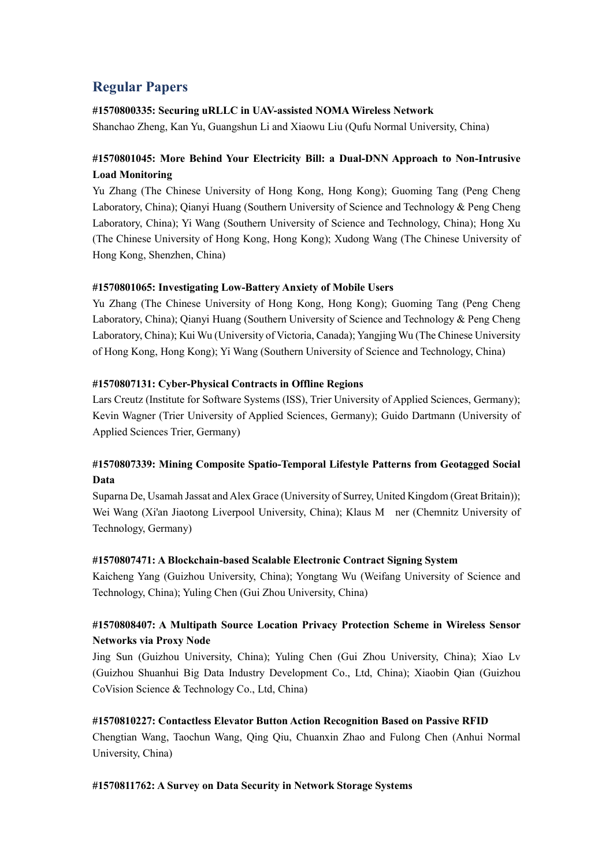# **Regular Papers**

### **#1570800335: Securing uRLLC in UAV-assisted NOMA Wireless Network**

Shanchao Zheng, Kan Yu, Guangshun Li and Xiaowu Liu (Qufu Normal University, China)

# **#1570801045: More Behind Your Electricity Bill: a Dual-DNN Approach to Non-Intrusive Load Monitoring**

Yu Zhang (The Chinese University of Hong Kong, Hong Kong); Guoming Tang (Peng Cheng Laboratory, China); Qianyi Huang (Southern University of Science and Technology & Peng Cheng Laboratory, China); Yi Wang (Southern University of Science and Technology, China); Hong Xu (The Chinese University of Hong Kong, Hong Kong); Xudong Wang (The Chinese University of Hong Kong, Shenzhen, China)

### **#1570801065: Investigating Low-Battery Anxiety of Mobile Users**

Yu Zhang (The Chinese University of Hong Kong, Hong Kong); Guoming Tang (Peng Cheng Laboratory, China); Qianyi Huang (Southern University of Science and Technology & Peng Cheng Laboratory, China); Kui Wu (University of Victoria, Canada); Yangjing Wu (The Chinese University of Hong Kong, Hong Kong); Yi Wang (Southern University of Science and Technology, China)

### **#1570807131: Cyber-Physical Contracts in Offline Regions**

Lars Creutz (Institute for Software Systems (ISS), Trier University of Applied Sciences, Germany); Kevin Wagner (Trier University of Applied Sciences, Germany); Guido Dartmann (University of Applied Sciences Trier, Germany)

# **#1570807339: Mining Composite Spatio-Temporal Lifestyle Patterns from Geotagged Social Data**

Suparna De, Usamah Jassat and Alex Grace (University of Surrey, United Kingdom (Great Britain)); Wei Wang (Xi'an Jiaotong Liverpool University, China); Klaus M ner (Chemnitz University of Technology, Germany)

### **#1570807471: A Blockchain-based Scalable Electronic Contract Signing System**

Kaicheng Yang (Guizhou University, China); Yongtang Wu (Weifang University of Science and Technology, China); Yuling Chen (Gui Zhou University, China)

# **#1570808407: A Multipath Source Location Privacy Protection Scheme in Wireless Sensor Networks via Proxy Node**

Jing Sun (Guizhou University, China); Yuling Chen (Gui Zhou University, China); Xiao Lv (Guizhou Shuanhui Big Data Industry Development Co., Ltd, China); Xiaobin Qian (Guizhou CoVision Science & Technology Co., Ltd, China)

### **#1570810227: Contactless Elevator Button Action Recognition Based on Passive RFID**

Chengtian Wang, Taochun Wang, Qing Qiu, Chuanxin Zhao and Fulong Chen (Anhui Normal University, China)

### **#1570811762: A Survey on Data Security in Network Storage Systems**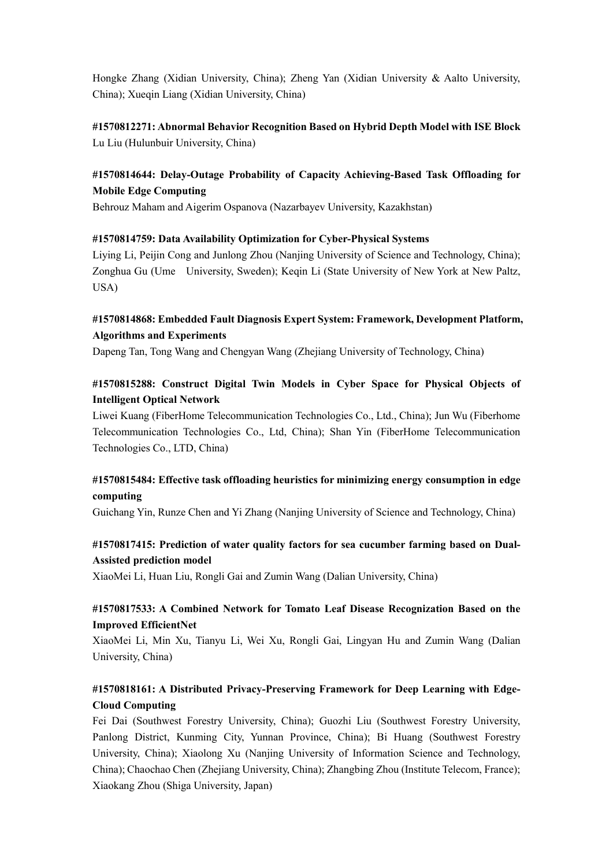Hongke Zhang (Xidian University, China); Zheng Yan (Xidian University & Aalto University, China); Xueqin Liang (Xidian University, China)

**#1570812271: Abnormal Behavior Recognition Based on Hybrid Depth Model with ISE Block** Lu Liu (Hulunbuir University, China)

## **#1570814644: Delay-Outage Probability of Capacity Achieving-Based Task Offloading for Mobile Edge Computing**

Behrouz Maham and Aigerim Ospanova (Nazarbayev University, Kazakhstan)

### **#1570814759: Data Availability Optimization for Cyber-Physical Systems**

Liying Li, Peijin Cong and Junlong Zhou (Nanjing University of Science and Technology, China); Zonghua Gu (Ume University, Sweden); Keqin Li (State University of New York at New Paltz, USA)

## **#1570814868: Embedded Fault Diagnosis Expert System: Framework, Development Platform, Algorithms and Experiments**

Dapeng Tan, Tong Wang and Chengyan Wang (Zhejiang University of Technology, China)

## **#1570815288: Construct Digital Twin Models in Cyber Space for Physical Objects of Intelligent Optical Network**

Liwei Kuang (FiberHome Telecommunication Technologies Co., Ltd., China); Jun Wu (Fiberhome Telecommunication Technologies Co., Ltd, China); Shan Yin (FiberHome Telecommunication Technologies Co., LTD, China)

# **#1570815484: Effective task offloading heuristics for minimizing energy consumption in edge computing**

Guichang Yin, Runze Chen and Yi Zhang (Nanjing University of Science and Technology, China)

# **#1570817415: Prediction of water quality factors for sea cucumber farming based on Dual-Assisted prediction model**

XiaoMei Li, Huan Liu, Rongli Gai and Zumin Wang (Dalian University, China)

# **#1570817533: A Combined Network for Tomato Leaf Disease Recognization Based on the Improved EfficientNet**

XiaoMei Li, Min Xu, Tianyu Li, Wei Xu, Rongli Gai, Lingyan Hu and Zumin Wang (Dalian University, China)

# **#1570818161: A Distributed Privacy-Preserving Framework for Deep Learning with Edge-Cloud Computing**

Fei Dai (Southwest Forestry University, China); Guozhi Liu (Southwest Forestry University, Panlong District, Kunming City, Yunnan Province, China); Bi Huang (Southwest Forestry University, China); Xiaolong Xu (Nanjing University of Information Science and Technology, China); Chaochao Chen (Zhejiang University, China); Zhangbing Zhou (Institute Telecom, France); Xiaokang Zhou (Shiga University, Japan)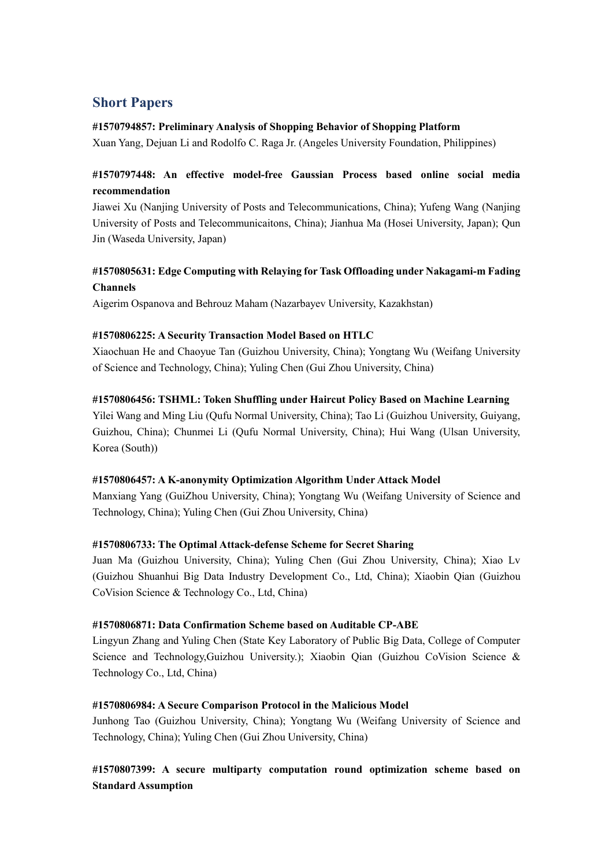# **Short Papers**

### **#1570794857: Preliminary Analysis of Shopping Behavior of Shopping Platform**

Xuan Yang, Dejuan Li and Rodolfo C. Raga Jr. (Angeles University Foundation, Philippines)

# **#1570797448: An effective model-free Gaussian Process based online social media recommendation**

Jiawei Xu (Nanjing University of Posts and Telecommunications, China); Yufeng Wang (Nanjing University of Posts and Telecommunicaitons, China); Jianhua Ma (Hosei University, Japan); Qun Jin (Waseda University, Japan)

# **#1570805631: Edge Computing with Relaying for Task Offloading under Nakagami-m Fading Channels**

Aigerim Ospanova and Behrouz Maham (Nazarbayev University, Kazakhstan)

### **#1570806225: A Security Transaction Model Based on HTLC**

Xiaochuan He and Chaoyue Tan (Guizhou University, China); Yongtang Wu (Weifang University of Science and Technology, China); Yuling Chen (Gui Zhou University, China)

### **#1570806456: TSHML: Token Shuffling under Haircut Policy Based on Machine Learning**

Yilei Wang and Ming Liu (Qufu Normal University, China); Tao Li (Guizhou University, Guiyang, Guizhou, China); Chunmei Li (Qufu Normal University, China); Hui Wang (Ulsan University, Korea (South))

### **#1570806457: A K-anonymity Optimization Algorithm Under Attack Model**

Manxiang Yang (GuiZhou University, China); Yongtang Wu (Weifang University of Science and Technology, China); Yuling Chen (Gui Zhou University, China)

### **#1570806733: The Optimal Attack-defense Scheme for Secret Sharing**

Juan Ma (Guizhou University, China); Yuling Chen (Gui Zhou University, China); Xiao Lv (Guizhou Shuanhui Big Data Industry Development Co., Ltd, China); Xiaobin Qian (Guizhou CoVision Science & Technology Co., Ltd, China)

### **#1570806871: Data Confirmation Scheme based on Auditable CP-ABE**

Lingyun Zhang and Yuling Chen (State Key Laboratory of Public Big Data, College of Computer Science and Technology,Guizhou University.); Xiaobin Qian (Guizhou CoVision Science & Technology Co., Ltd, China)

### **#1570806984: A Secure Comparison Protocol in the Malicious Model**

Junhong Tao (Guizhou University, China); Yongtang Wu (Weifang University of Science and Technology, China); Yuling Chen (Gui Zhou University, China)

# **#1570807399: A secure multiparty computation round optimization scheme based on Standard Assumption**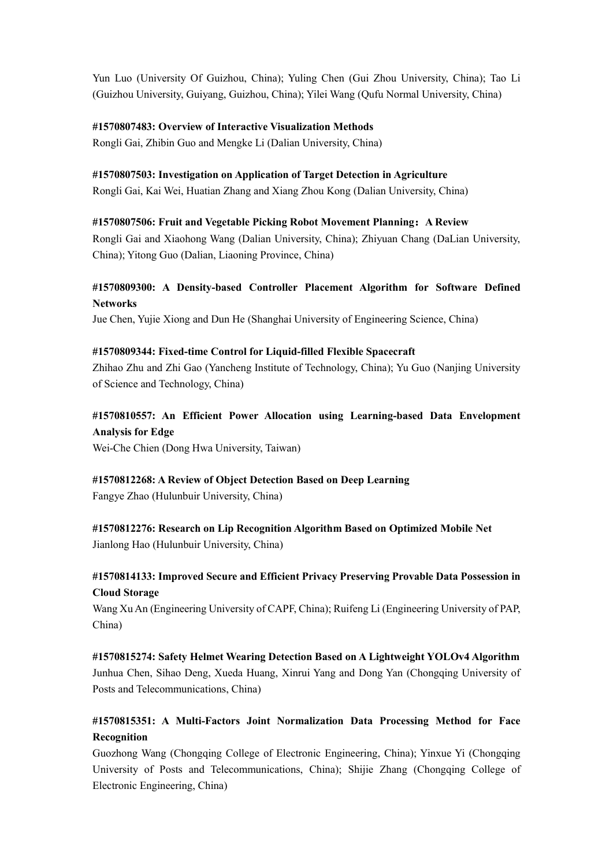Yun Luo (University Of Guizhou, China); Yuling Chen (Gui Zhou University, China); Tao Li (Guizhou University, Guiyang, Guizhou, China); Yilei Wang (Qufu Normal University, China)

### **#1570807483: Overview of Interactive Visualization Methods**

Rongli Gai, Zhibin Guo and Mengke Li (Dalian University, China)

### **#1570807503: Investigation on Application of Target Detection in Agriculture**

Rongli Gai, Kai Wei, Huatian Zhang and Xiang Zhou Kong (Dalian University, China)

### **#1570807506: Fruit and Vegetable Picking Robot Movement Planning:A Review**

Rongli Gai and Xiaohong Wang (Dalian University, China); Zhiyuan Chang (DaLian University, China); Yitong Guo (Dalian, Liaoning Province, China)

## **#1570809300: A Density-based Controller Placement Algorithm for Software Defined Networks**

Jue Chen, Yujie Xiong and Dun He (Shanghai University of Engineering Science, China)

### **#1570809344: Fixed-time Control for Liquid-filled Flexible Spacecraft**

Zhihao Zhu and Zhi Gao (Yancheng Institute of Technology, China); Yu Guo (Nanjing University of Science and Technology, China)

# **#1570810557: An Efficient Power Allocation using Learning-based Data Envelopment Analysis for Edge**

Wei-Che Chien (Dong Hwa University, Taiwan)

### **#1570812268: A Review of Object Detection Based on Deep Learning**

Fangye Zhao (Hulunbuir University, China)

**#1570812276: Research on Lip Recognition Algorithm Based on Optimized Mobile Net** Jianlong Hao (Hulunbuir University, China)

### **#1570814133: Improved Secure and Efficient Privacy Preserving Provable Data Possession in Cloud Storage**

Wang Xu An (Engineering University of CAPF, China); Ruifeng Li (Engineering University of PAP, China)

**#1570815274: Safety Helmet Wearing Detection Based on A Lightweight YOLOv4 Algorithm** Junhua Chen, Sihao Deng, Xueda Huang, Xinrui Yang and Dong Yan (Chongqing University of Posts and Telecommunications, China)

# **#1570815351: A Multi-Factors Joint Normalization Data Processing Method for Face Recognition**

Guozhong Wang (Chongqing College of Electronic Engineering, China); Yinxue Yi (Chongqing University of Posts and Telecommunications, China); Shijie Zhang (Chongqing College of Electronic Engineering, China)